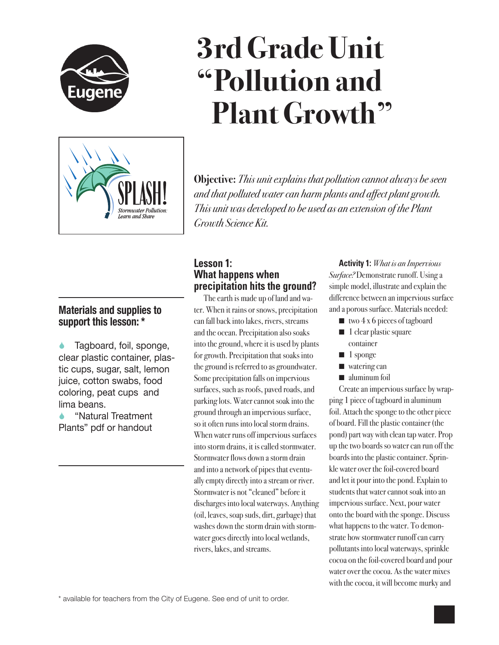

# Stormwater Pollution Learn and Share

# **3rd Grade Unit "Pollution and Plant Growth"**

**Objective:** *This unit explains that pollution cannot always be seen and that polluted water can harm plants and affect plant growth. This unit was developed to be used as an extension of the Plant Growth Science Kit.*

# **Materials and supplies to support this lesson: \***

 Tagboard, foil, sponge, clear plastic container, plastic cups, sugar, salt, lemon juice, cotton swabs, food coloring, peat cups and lima beans.

 "Natural Treatment Plants" pdf or handout

# **Lesson 1: What happens when precipitation hits the ground?**

The earth is made up of land and water. When it rains or snows, precipitation can fall back into lakes, rivers, streams and the ocean. Precipitation also soaks into the ground, where it is used by plants for growth. Precipitation that soaks into the ground is referred to as groundwater. Some precipitation falls on impervious surfaces, such as roofs, paved roads, and parking lots. Water cannot soak into the ground through an impervious surface, so it often runs into local storm drains. When water runs off impervious surfaces into storm drains, it is called stormwater. Stormwater flows down a storm drain and into a network of pipes that eventually empty directly into a stream or river. Stormwater is not "cleaned" before it discharges into local waterways. Anything (oil, leaves, soap suds, dirt, garbage) that washes down the storm drain with stormwater goes directly into local wetlands, rivers, lakes, and streams.

**Activity 1:** *What is an Impervious Surface?* Demonstrate runoff. Using a simple model, illustrate and explain the difference between an impervious surface and a porous surface. Materials needed:

- $\blacksquare$  two  $4 \times 6$  pieces of tagboard
- $\blacksquare$  1 clear plastic square container
- $\blacksquare$  1 sponge
- $\blacksquare$  watering can
- $\blacksquare$  aluminum foil

Create an impervious surface by wrapping 1 piece of tagboard in aluminum foil. Attach the sponge to the other piece of board. Fill the plastic container (the pond) part way with clean tap water. Prop up the two boards so water can run off the boards into the plastic container. Sprinkle water over the foil-covered board and let it pour into the pond. Explain to students that water cannot soak into an impervious surface. Next, pour water onto the board with the sponge. Discuss what happens to the water. To demonstrate how stormwater runoff can carry pollutants into local waterways, sprinkle cocoa on the foil-covered board and pour water over the cocoa. As the water mixes with the cocoa, it will become murky and

\* available for teachers from the City of Eugene. See end of unit to order.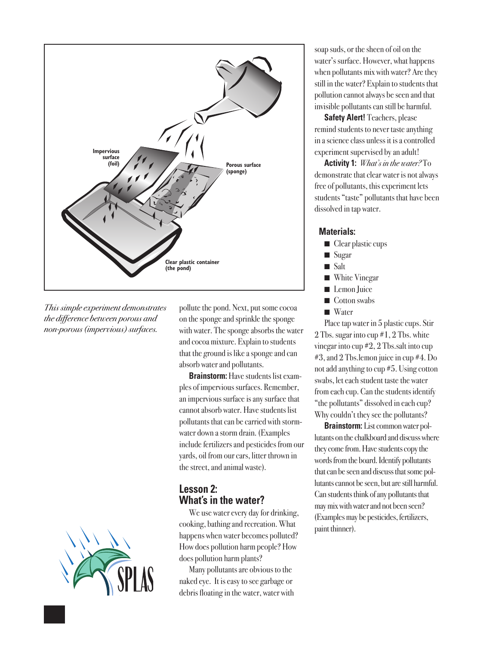

*This simple experiment demonstrates the difference between porous and non-porous (impervious) surfaces.*

![](_page_1_Picture_2.jpeg)

pollute the pond. Next, put some cocoa on the sponge and sprinkle the sponge with water. The sponge absorbs the water and cocoa mixture. Explain to students that the ground is like a sponge and can absorb water and pollutants.

**Brainstorm:** Have students list examples of impervious surfaces. Remember, an impervious surface is any surface that cannot absorb water. Have students list pollutants that can be carried with stormwater down a storm drain. (Examples include fertilizers and pesticides from our yards, oil from our cars, litter thrown in the street, and animal waste).

# **Lesson 2: What's in the water?**

We use water every day for drinking, cooking, bathing and recreation. What happens when water becomes polluted? How does pollution harm people? How does pollution harm plants?

Many pollutants are obvious to the naked eye. It is easy to see garbage or debris floating in the water, water with soap suds, or the sheen of oil on the water's surface. However, what happens when pollutants mix with water? Are they still in the water? Explain to students that pollution cannot always be seen and that invisible pollutants can still be harmful.

**Safety Alert!** Teachers, please remind students to never taste anything in a science class unless it is a controlled experiment supervised by an adult!

**Activity 1:** *What's in the water?* To demonstrate that clear water is not always free of pollutants, this experiment lets students "taste" pollutants that have been dissolved in tap water.

#### **Materials:**

- $\blacksquare$  Clear plastic cups
- $\blacksquare$  Sugar
- $\blacksquare$  Salt
- **Nhite Vinegar**
- Lemon Juice
- $\blacksquare$  Cotton swabs
- $\blacksquare$  Water

Place tap water in 5 plastic cups. Stir 2 Tbs. sugar into cup #1, 2 Tbs. white vinegar into cup #2, 2 Tbs.salt into cup #3, and 2 Tbs.lemon juice in cup #4. Do not add anything to cup #5. Using cotton swabs, let each student taste the water from each cup. Can the students identify "the pollutants" dissolved in each cup? Why couldn't they see the pollutants?

**Brainstorm:** List common water pollutants on the chalkboard and discuss where they come from. Have students copy the words from the board. Identify pollutants that can be seen and discuss that some pollutants cannot be seen, but are still harmful. Can students think of any pollutants that may mix with water and not been seen? (Examples may be pesticides, fertilizers, paint thinner).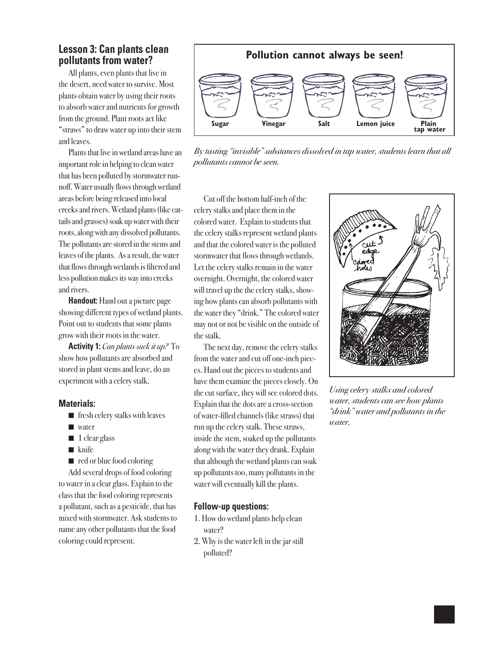### **Lesson 3: Can plants clean pollutants from water?**

All plants, even plants that live in the desert, need water to survive. Most plants obtain water by using their roots to absorb water and nutrients for growth from the ground. Plant roots act like "straws" to draw water up into their stem and leaves.

Plants that live in wetland areas have an important role in helping to clean water that has been polluted by stormwater runnoff. Water usually flows through wetland areas before being released into local creeks and rivers. Wetland plants (like cattails and grasses) soak up water with their roots, along with any dissolved pollutants. The pollutants are stored in the stems and leaves of the plants. As a result, the water that flows through wetlands is filtered and less pollution makes its way into creeks and rivers.

**Handout:** Hand out a picture page showing different types of wetland plants. Point out to students that some plants grow with their roots in the water.

**Activity 1:** *Can plants suck it up?* To show how pollutants are absorbed and stored in plant stems and leave, do an experiment with a celery stalk.

#### **Materials:**

- $\blacksquare$  fresh celery stalks with leaves
- $\blacksquare$  water
- $\blacksquare$  1 clear glass
- $\blacksquare$  knife
- $\blacksquare$  red or blue food coloring

Add several drops of food coloring to water in a clear glass. Explain to the class that the food coloring represents a pollutant, such as a pesticide, that has mixed with stormwater. Ask students to name any other pollutants that the food coloring could represent.

![](_page_2_Figure_12.jpeg)

*By tasting "invisible" substances dissolved in tap water, students learn that all pollutants cannot be seen.*

Cut off the bottom half-inch of the celery stalks and place them in the colored water. Explain to students that the celery stalks represent wetland plants and that the colored water is the polluted stormwater that flows through wetlands. Let the celery stalks remain in the water overnight. Overnight, the colored water will travel up the the celery stalks, showing how plants can absorb pollutants with the water they "drink." The colored water may not or not be visible on the outside of the stalk.

The next day, remove the celery stalks from the water and cut off one-inch pieces. Hand out the pieces to students and have them examine the pieces closely. On the cut surface, they will see colored dots. Explain that the dots are a cross-section of water-filled channels (like straws) that run up the celery stalk. These straws, inside the stem, soaked up the pollutants along with the water they drank. Explain that although the wetland plants can soak up pollutants too, many pollutants in the water will eventually kill the plants.

#### **Follow-up questions:**

- 1. How do wetland plants help clean water?
- 2. Why is the water left in the jar still polluted?

![](_page_2_Figure_19.jpeg)

*Using celery stalks and colored water, students can see how plants "drink" water and pollutants in the water.*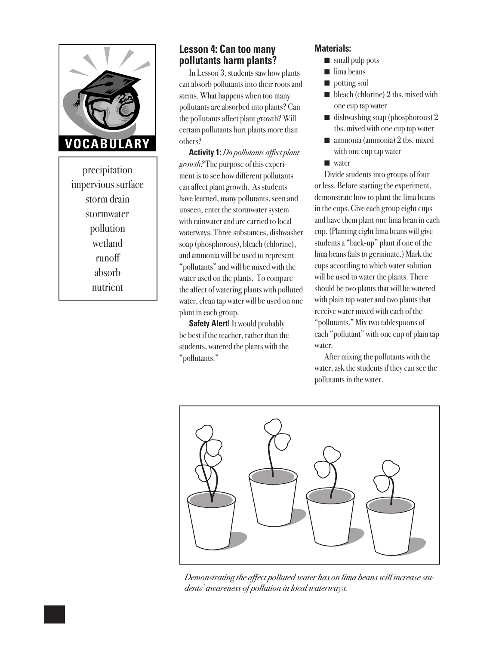![](_page_3_Picture_0.jpeg)

precipitation impervious surface storm drain stormwater pollution wetland runoff absorb nutrient

# **Lesson 4: Can too many pollutants harm plants?**

In Lesson 3, students saw how plants can absorb pollutants into their roots and stems. What happens when too many pollutants are absorbed into plants? Can the pollutants affect plant growth? Will certain pollutants hurt plants more than others?

**Activity 1:** *Do pollutants affect plant growth?* The purpose of this experiment is to see how different pollutants can affect plant growth. As students have learned, many pollutants, seen and unseen, enter the stormwater system with rainwater and are carried to local waterways. Three substances, dishwasher soap (phosphorous), bleach (chlorine), and ammonia will be used to represent "pollutants" and will be mixed with the water used on the plants. To compare the affect of watering plants with polluted water, clean tap water will be used on one plant in each group.

**Safety Alert!** It would probably be best if the teacher, rather than the students, watered the plants with the "pollutants."

### **Materials:**

- $\blacksquare$  small pulp pots
- $\blacksquare$  lima beans
- $\blacksquare$  potting soil
- $\blacksquare$  bleach (chlorine) 2 tbs. mixed with one cup tap water
- $\blacksquare$  dishwashing soap (phosphorous) 2 tbs. mixed with one cup tap water
- $\blacksquare$  ammonia (ammonia) 2 tbs. mixed with one cup tap water
- $\blacksquare$  water

Divide students into groups of four or less. Before starting the experiment, demonstrate how to plant the lima beans in the cups. Give each group eight cups and have them plant one lima bean in each cup. (Planting eight lima beans will give students a "back-up" plant if one of the lima beans fails to germinate.) Mark the cups according to which water solution will be used to water the plants. There should be two plants that will be watered with plain tap water and two plants that receive water mixed with each of the "pollutants." Mix two tablespoons of each "pollutant" with one cup of plain tap water.

After mixing the pollutants with the water, ask the students if they can see the pollutants in the water.

![](_page_3_Picture_16.jpeg)

*Demonstrating the affect polluted water has on lima beans will increase students' awareness of pollution in local waterways.*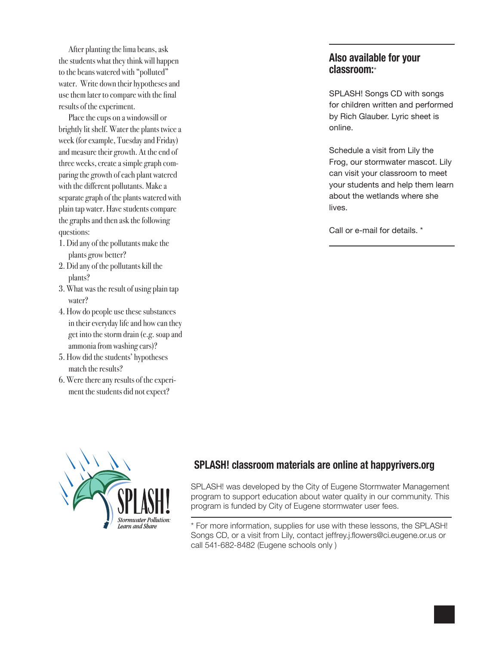After planting the lima beans, ask the students what they think will happen to the beans watered with "polluted" water. Write down their hypotheses and use them later to compare with the final results of the experiment.

Place the cups on a windowsill or brightly lit shelf. Water the plants twice a week (for example, Tuesday and Friday) and measure their growth. At the end of three weeks, create a simple graph comparing the growth of each plant watered with the different pollutants. Make a separate graph of the plants watered with plain tap water. Have students compare the graphs and then ask the following questions:

- 1. Did any of the pollutants make the plants grow better?
- 2. Did any of the pollutants kill the plants?
- 3. What was the result of using plain tap water?
- 4. How do people use these substances in their everyday life and how can they get into the storm drain (e.g. soap and ammonia from washing cars)?
- 5. How did the students' hypotheses match the results?
- 6. Were there any results of the experiment the students did not expect?

# **Also available for your classroom:**\*

SPLASH! Songs CD with songs for children written and performed by Rich Glauber. Lyric sheet is online.

Schedule a visit from Lily the Frog, our stormwater mascot. Lily can visit your classroom to meet your students and help them learn about the wetlands where she lives.

Call or e-mail for details. \*

![](_page_4_Picture_12.jpeg)

# **SPLASH! classroom materials are online at happyrivers.org**

SPLASH! was developed by the City of Eugene Stormwater Management program to support education about water quality in our community. This program is funded by City of Eugene stormwater user fees.

\* For more information, supplies for use with these lessons, the SPLASH! Songs CD, or a visit from Lily, contact jeffrey.j.flowers@ci.eugene.or.us or call 541-682-8482 (Eugene schools only )